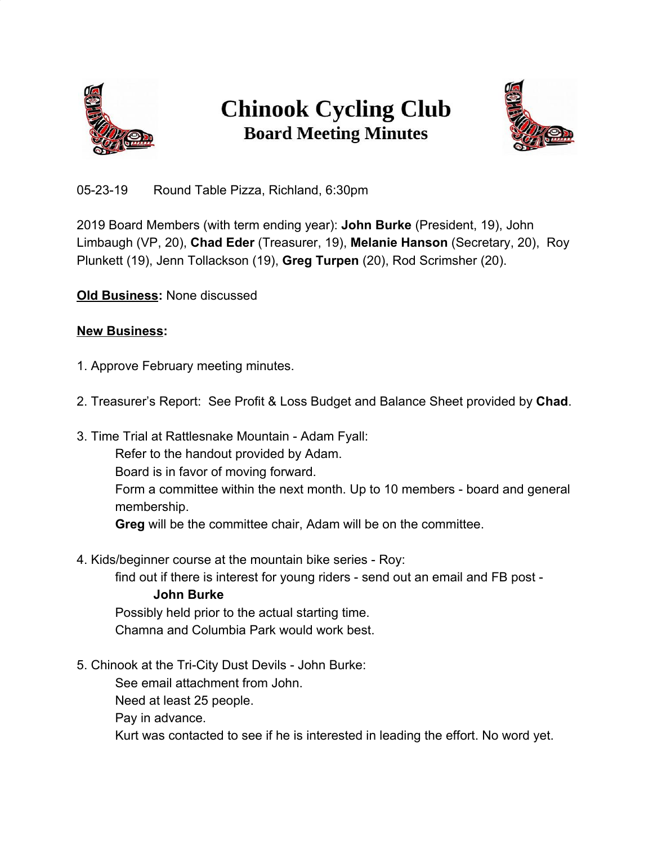

## **Chinook Cycling Club Board Meeting Minutes**



05-23-19 Round Table Pizza, Richland, 6:30pm

2019 Board Members (with term ending year): **John Burke** (President, 19), John Limbaugh (VP, 20), **Chad Eder** (Treasurer, 19), **Melanie Hanson** (Secretary, 20), Roy Plunkett (19), Jenn Tollackson (19), **Greg Turpen** (20), Rod Scrimsher (20).

**Old Business:** None discussed

## **New Business:**

- 1. Approve February meeting minutes.
- 2. Treasurer's Report: See Profit & Loss Budget and Balance Sheet provided by **Chad**.
- 3. Time Trial at Rattlesnake Mountain Adam Fyall: Refer to the handout provided by Adam. Board is in favor of moving forward. Form a committee within the next month. Up to 10 members - board and general membership. **Greg** will be the committee chair, Adam will be on the committee.
- 4. Kids/beginner course at the mountain bike series Roy:

find out if there is interest for young riders - send out an email and FB post -

**John Burke**

Possibly held prior to the actual starting time. Chamna and Columbia Park would work best.

5. Chinook at the Tri-City Dust Devils - John Burke:

See email attachment from John.

Need at least 25 people.

Pay in advance.

Kurt was contacted to see if he is interested in leading the effort. No word yet.